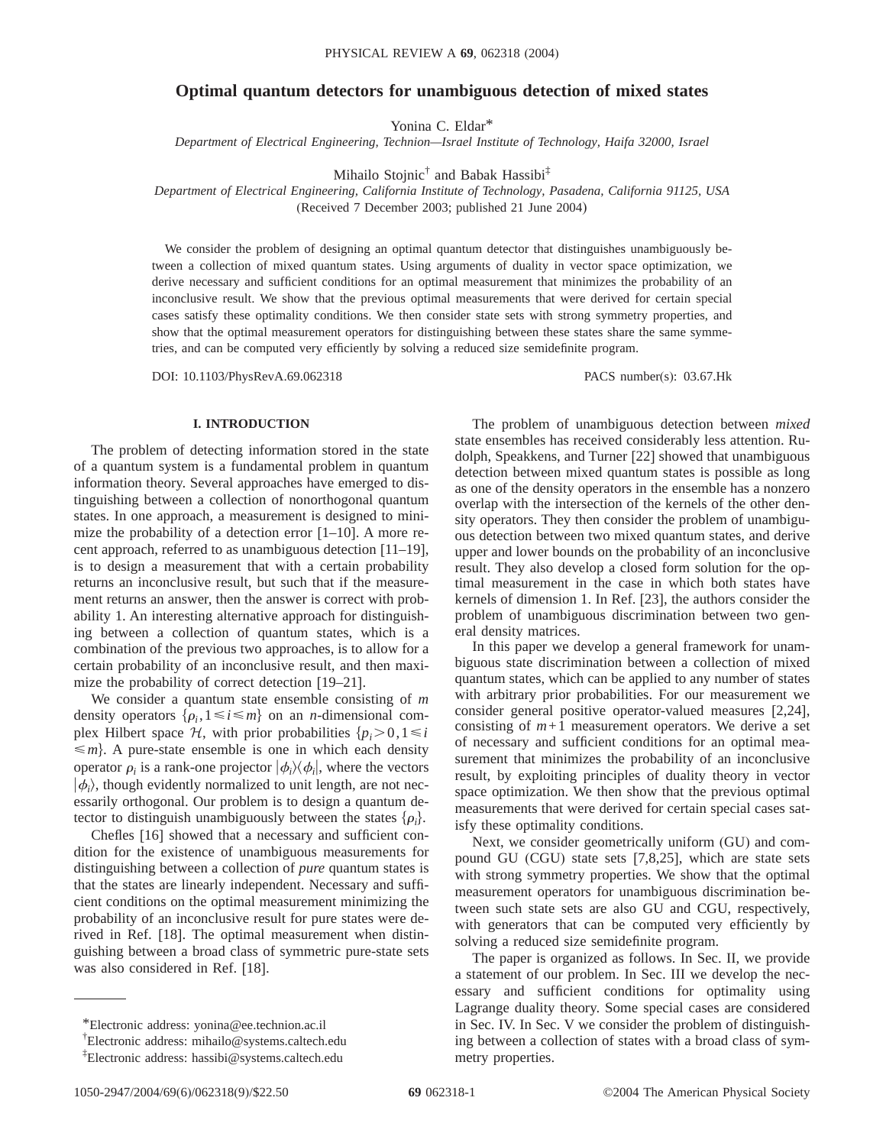# **Optimal quantum detectors for unambiguous detection of mixed states**

Yonina C. Eldar\*

*Department of Electrical Engineering, Technion—Israel Institute of Technology, Haifa 32000, Israel*

Mihailo Stojnic<sup>†</sup> and Babak Hassibi<sup>‡</sup>

*Department of Electrical Engineering, California Institute of Technology, Pasadena, California 91125, USA* (Received 7 December 2003; published 21 June 2004)

We consider the problem of designing an optimal quantum detector that distinguishes unambiguously between a collection of mixed quantum states. Using arguments of duality in vector space optimization, we derive necessary and sufficient conditions for an optimal measurement that minimizes the probability of an inconclusive result. We show that the previous optimal measurements that were derived for certain special cases satisfy these optimality conditions. We then consider state sets with strong symmetry properties, and show that the optimal measurement operators for distinguishing between these states share the same symmetries, and can be computed very efficiently by solving a reduced size semidefinite program.

DOI: 10.1103/PhysRevA.69.062318 PACS number(s): 03.67.Hk

# **I. INTRODUCTION**

The problem of detecting information stored in the state of a quantum system is a fundamental problem in quantum information theory. Several approaches have emerged to distinguishing between a collection of nonorthogonal quantum states. In one approach, a measurement is designed to minimize the probability of a detection error [1–10]. A more recent approach, referred to as unambiguous detection [11–19], is to design a measurement that with a certain probability returns an inconclusive result, but such that if the measurement returns an answer, then the answer is correct with probability 1. An interesting alternative approach for distinguishing between a collection of quantum states, which is a combination of the previous two approaches, is to allow for a certain probability of an inconclusive result, and then maximize the probability of correct detection [19–21].

We consider a quantum state ensemble consisting of *m* density operators  $\{\rho_i, 1 \le i \le m\}$  on an *n*-dimensional complex Hilbert space  $H$ , with prior probabilities  $\{p_i > 0, 1 \le i\}$  $\leq m$ . A pure-state ensemble is one in which each density operator  $\rho_i$  is a rank-one projector  $|\phi_i\rangle\langle\phi_i|$ , where the vectors  $|\phi_i\rangle$ , though evidently normalized to unit length, are not necessarily orthogonal. Our problem is to design a quantum detector to distinguish unambiguously between the states  $\{\rho_i\}$ .

Chefles [16] showed that a necessary and sufficient condition for the existence of unambiguous measurements for distinguishing between a collection of *pure* quantum states is that the states are linearly independent. Necessary and sufficient conditions on the optimal measurement minimizing the probability of an inconclusive result for pure states were derived in Ref. [18]. The optimal measurement when distinguishing between a broad class of symmetric pure-state sets was also considered in Ref. [18].

The problem of unambiguous detection between *mixed* state ensembles has received considerably less attention. Rudolph, Speakkens, and Turner [22] showed that unambiguous detection between mixed quantum states is possible as long as one of the density operators in the ensemble has a nonzero overlap with the intersection of the kernels of the other density operators. They then consider the problem of unambiguous detection between two mixed quantum states, and derive upper and lower bounds on the probability of an inconclusive result. They also develop a closed form solution for the optimal measurement in the case in which both states have kernels of dimension 1. In Ref. [23], the authors consider the problem of unambiguous discrimination between two general density matrices.

In this paper we develop a general framework for unambiguous state discrimination between a collection of mixed quantum states, which can be applied to any number of states with arbitrary prior probabilities. For our measurement we consider general positive operator-valued measures [2,24], consisting of  $m+1$  measurement operators. We derive a set of necessary and sufficient conditions for an optimal measurement that minimizes the probability of an inconclusive result, by exploiting principles of duality theory in vector space optimization. We then show that the previous optimal measurements that were derived for certain special cases satisfy these optimality conditions.

Next, we consider geometrically uniform (GU) and compound GU (CGU) state sets [7,8,25], which are state sets with strong symmetry properties. We show that the optimal measurement operators for unambiguous discrimination between such state sets are also GU and CGU, respectively, with generators that can be computed very efficiently by solving a reduced size semidefinite program.

The paper is organized as follows. In Sec. II, we provide a statement of our problem. In Sec. III we develop the necessary and sufficient conditions for optimality using Lagrange duality theory. Some special cases are considered in Sec. IV. In Sec. V we consider the problem of distinguishing between a collection of states with a broad class of symmetry properties.

<sup>\*</sup>Electronic address: yonina@ee.technion.ac.il

<sup>†</sup> Electronic address: mihailo@systems.caltech.edu

<sup>‡</sup> Electronic address: hassibi@systems.caltech.edu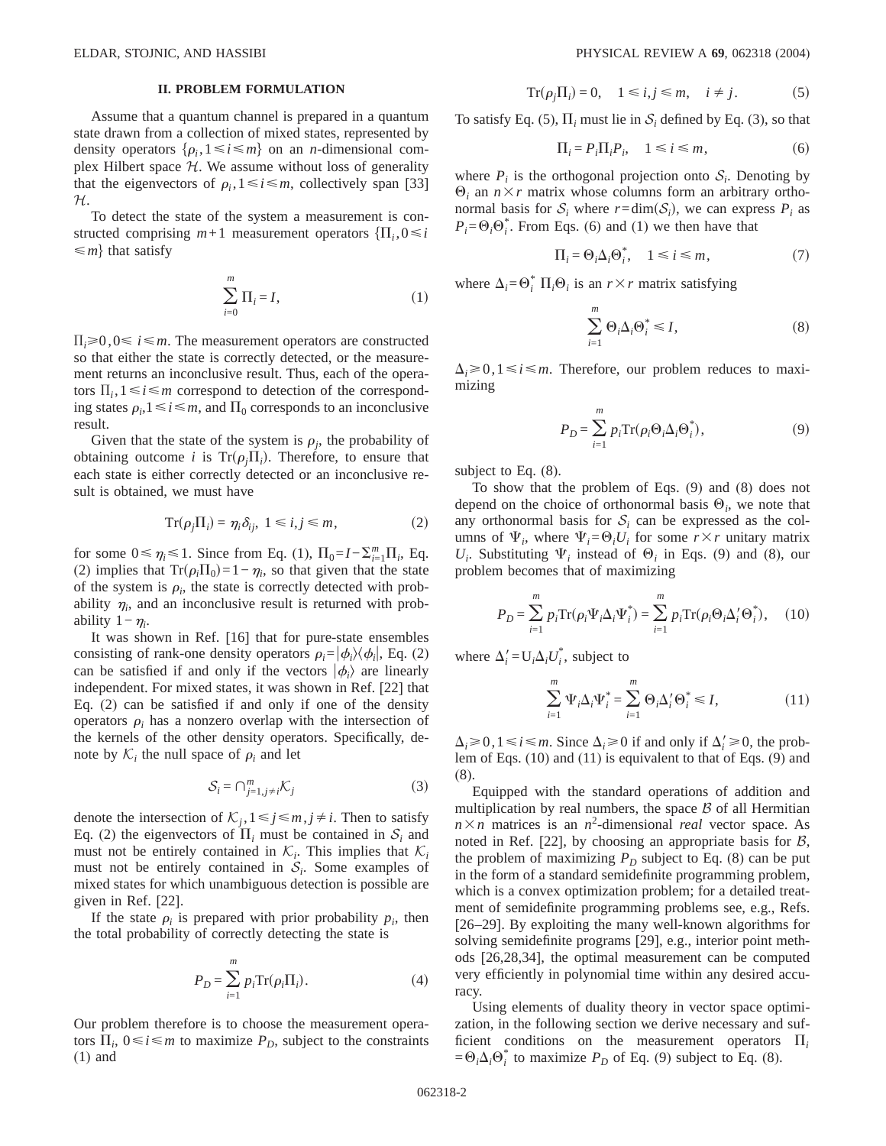# **II. PROBLEM FORMULATION**

Assume that a quantum channel is prepared in a quantum state drawn from a collection of mixed states, represented by density operators  $\{\rho_i, 1 \le i \le m\}$  on an *n*-dimensional complex Hilbert space  $H$ . We assume without loss of generality that the eigenvectors of  $\rho_i, 1 \le i \le m$ , collectively span [33] H.

To detect the state of the system a measurement is constructed comprising  $m+1$  measurement operators  $\{\Pi_i, 0 \leq i\}$  $\leq m$  that satisfy

$$
\sum_{i=0}^{m} \Pi_i = I,\tag{1}
$$

 $\Pi_i \geq 0, 0 \leq i \leq m$ . The measurement operators are constructed so that either the state is correctly detected, or the measurement returns an inconclusive result. Thus, each of the operators  $\Pi_i, 1 \leq i \leq m$  correspond to detection of the corresponding states  $\rho_i, 1 \le i \le m$ , and  $\Pi_0$  corresponds to an inconclusive result.

Given that the state of the system is  $\rho_i$ , the probability of obtaining outcome *i* is  $Tr(\rho_j \Pi_i)$ . Therefore, to ensure that each state is either correctly detected or an inconclusive result is obtained, we must have

$$
\operatorname{Tr}(\rho_j \Pi_i) = \eta_i \delta_{ij}, \ 1 \le i, j \le m,
$$
 (2)

for some  $0 \le \eta_i \le 1$ . Since from Eq. (1),  $\Pi_0 = I - \sum_{i=1}^m \Pi_i$ , Eq. (2) implies that  $Tr(\rho_i \Pi_0) = 1 - \eta_i$ , so that given that the state of the system is  $\rho_i$ , the state is correctly detected with probability  $\eta_i$ , and an inconclusive result is returned with probability  $1 - \eta_i$ .

It was shown in Ref. [16] that for pure-state ensembles consisting of rank-one density operators  $\rho_i = |\phi_i\rangle\langle\phi_i|$ , Eq. (2) can be satisfied if and only if the vectors  $|\phi_i\rangle$  are linearly independent. For mixed states, it was shown in Ref. [22] that Eq. (2) can be satisfied if and only if one of the density operators  $\rho_i$  has a nonzero overlap with the intersection of the kernels of the other density operators. Specifically, denote by  $K_i$  the null space of  $\rho_i$  and let

$$
S_i = \bigcap_{j=1, j \neq i}^m \mathcal{K}_j \tag{3}
$$

denote the intersection of  $K_i$ ,  $1 \le j \le m, j \ne i$ . Then to satisfy Eq. (2) the eigenvectors of  $\Pi_i$  must be contained in  $S_i$  and must not be entirely contained in  $\mathcal{K}_i$ . This implies that  $\mathcal{K}_i$ must not be entirely contained in  $S_i$ . Some examples of mixed states for which unambiguous detection is possible are given in Ref. [22].

If the state  $\rho_i$  is prepared with prior probability  $p_i$ , then the total probability of correctly detecting the state is

$$
P_D = \sum_{i=1}^{m} p_i \text{Tr}(\rho_i \Pi_i). \tag{4}
$$

Our problem therefore is to choose the measurement operators  $\Pi_i$ ,  $0 \le i \le m$  to maximize  $P_D$ , subject to the constraints (1) and

$$
Tr(\rho_j \Pi_i) = 0, \quad 1 \le i, j \le m, \quad i \ne j. \tag{5}
$$

To satisfy Eq. (5),  $\Pi_i$  must lie in  $S_i$  defined by Eq. (3), so that

$$
\Pi_i = P_i \Pi_i P_i, \quad 1 \le i \le m,\tag{6}
$$

where  $P_i$  is the orthogonal projection onto  $S_i$ . Denoting by  $\Theta_i$  an  $n \times r$  matrix whose columns form an arbitrary orthonormal basis for  $S_i$  where  $r = \dim(S_i)$ , we can express  $P_i$  as  $P_i = \Theta_i \Theta_i^*$ . From Eqs. (6) and (1) we then have that

$$
\Pi_i = \Theta_i \Delta_i \Theta_i^*, \quad 1 \le i \le m,
$$
\n(7)

where  $\Delta_i = \Theta_i^* \Pi_i \Theta_i$  is an  $r \times r$  matrix satisfying

$$
\sum_{i=1}^{m} \Theta_{i} \Delta_{i} \Theta_{i}^{*} \le I,
$$
\n(8)

 $\Delta_i \geq 0, 1 \leq i \leq m$ . Therefore, our problem reduces to maximizing

$$
P_D = \sum_{i=1}^{m} p_i \text{Tr}(\rho_i \Theta_i \Delta_i \Theta_i^*), \tag{9}
$$

subject to Eq. (8).

To show that the problem of Eqs. (9) and (8) does not depend on the choice of orthonormal basis  $\Theta_i$ , we note that any orthonormal basis for  $S_i$  can be expressed as the columns of  $\Psi_i$ , where  $\Psi_i = \Theta_i U_i$  for some  $r \times r$  unitary matrix  $U_i$ . Substituting  $\Psi_i$  instead of  $\Theta_i$  in Eqs. (9) and (8), our problem becomes that of maximizing

$$
P_D = \sum_{i=1}^{m} p_i \text{Tr}(\rho_i \Psi_i \Delta_i \Psi_i^*) = \sum_{i=1}^{m} p_i \text{Tr}(\rho_i \Theta_i \Delta_i' \Theta_i^*), \quad (10)
$$

where  $\Delta_i' = U_i \Delta_i U_i^*$ , subject to

$$
\sum_{i=1}^{m} \Psi_i \Delta_i \Psi_i^* = \sum_{i=1}^{m} \Theta_i \Delta_i' \Theta_i^* \le I,
$$
\n(11)

 $\Delta_i \ge 0$ ,  $1 \le i \le m$ . Since  $\Delta_i \ge 0$  if and only if  $\Delta_i' \ge 0$ , the problem of Eqs. (10) and (11) is equivalent to that of Eqs. (9) and (8).

Equipped with the standard operations of addition and multiplication by real numbers, the space  $\beta$  of all Hermitian  $n \times n$  matrices is an *n*<sup>2</sup>-dimensional *real* vector space. As noted in Ref. [22], by choosing an appropriate basis for  $B$ , the problem of maximizing  $P_D$  subject to Eq. (8) can be put in the form of a standard semidefinite programming problem, which is a convex optimization problem; for a detailed treatment of semidefinite programming problems see, e.g., Refs. [26–29]. By exploiting the many well-known algorithms for solving semidefinite programs [29], e.g., interior point methods [26,28,34], the optimal measurement can be computed very efficiently in polynomial time within any desired accuracy.

Using elements of duality theory in vector space optimization, in the following section we derive necessary and sufficient conditions on the measurement operators  $\Pi_i$  $=\Theta_i \Delta_i \Theta_i^*$  to maximize  $P_D$  of Eq. (9) subject to Eq. (8).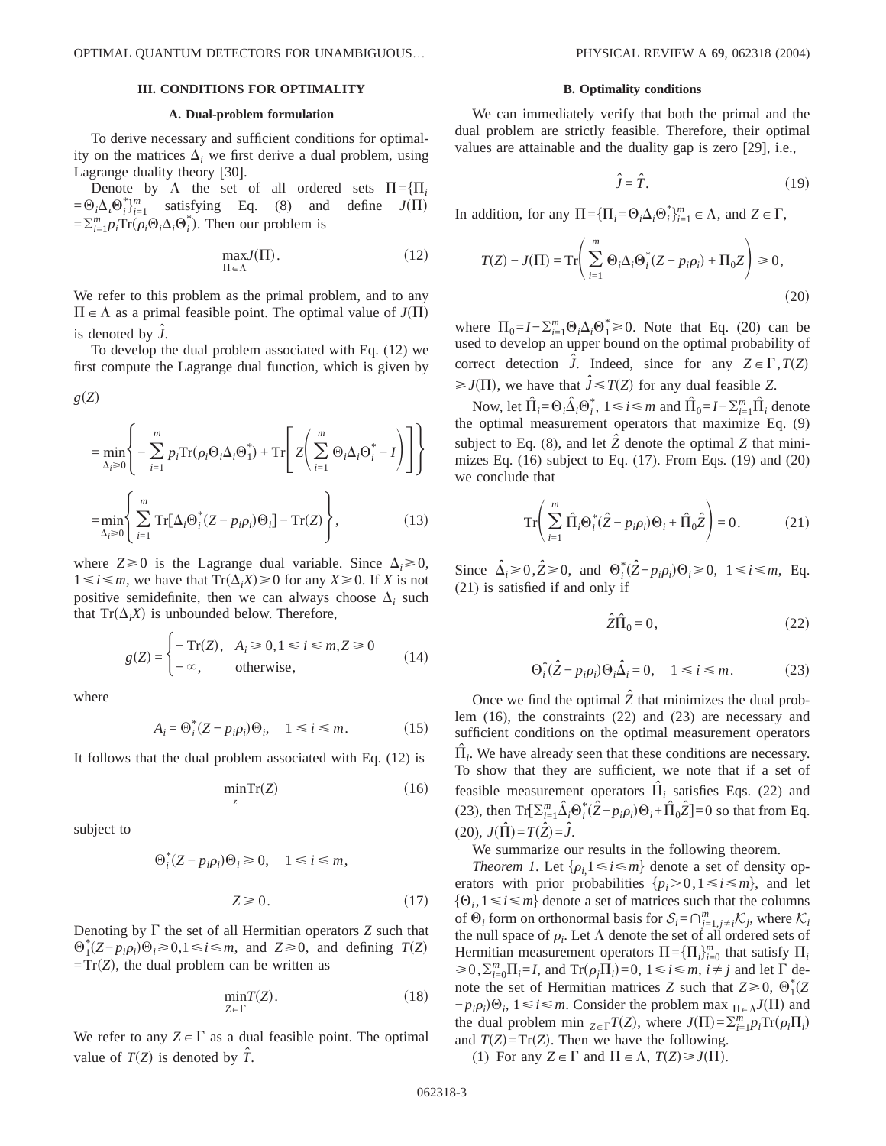# **III. CONDITIONS FOR OPTIMALITY**

#### **A. Dual-problem formulation**

To derive necessary and sufficient conditions for optimality on the matrices  $\Delta_i$  we first derive a dual problem, using Lagrange duality theory [30].

Denote by  $\Lambda$  the set of all ordered sets  $\Pi = \{\Pi_i\}$  $=\Theta_i \Delta_i \Theta_i^* \}^m_{i=1}$  satisfying Eq. (8) and define  $J(\Pi)$  $=\sum_{i=1}^{m} p_i \text{Tr}(\rho_i \Theta_i \Delta_i \Theta_i^*)$ . Then our problem is

$$
\max_{\Pi \in \Lambda} J(\Pi). \tag{12}
$$

We refer to this problem as the primal problem, and to any  $\Pi \in \Lambda$  as a primal feasible point. The optimal value of  $J(\Pi)$ is denoted by  $\hat{J}$ .

To develop the dual problem associated with Eq. (12) we first compute the Lagrange dual function, which is given by

$$
= \min_{\Delta_i \ge 0} \left\{ -\sum_{i=1}^m p_i \text{Tr}(\rho_i \Theta_i \Delta_i \Theta_1^*) + \text{Tr} \left[ Z \left( \sum_{i=1}^m \Theta_i \Delta_i \Theta_i^* - I \right) \right] \right\}
$$
  

$$
= \min_{\Delta_i \ge 0} \left\{ \sum_{i=1}^m \text{Tr}[\Delta_i \Theta_i^*(Z - p_i \rho_i) \Theta_i] - \text{Tr}(Z) \right\},
$$
(13)

where  $Z \ge 0$  is the Lagrange dual variable. Since  $\Delta_i \ge 0$ ,  $1 \le i \le m$ , we have that  $Tr(\Delta_i X) \ge 0$  for any *X*≥0. If *X* is not positive semidefinite, then we can always choose  $\Delta_i$  such that  $Tr(\Delta_i X)$  is unbounded below. Therefore,

$$
g(Z) = \begin{cases} -\operatorname{Tr}(Z), & A_i \ge 0, 1 \le i \le m, Z \ge 0 \\ -\infty, & \text{otherwise,} \end{cases}
$$
 (14)

where

 $g(Z)$ 

$$
A_i = \Theta_i^*(Z - p_i \rho_i) \Theta_i, \quad 1 \le i \le m. \tag{15}
$$

It follows that the dual problem associated with Eq. (12) is

$$
\min_{z} \operatorname{Tr}(Z) \tag{16}
$$

subject to

$$
\Theta_i^*(Z - p_i \rho_i) \Theta_i \ge 0, \quad 1 \le i \le m,
$$
  

$$
Z \ge 0.
$$
 (17)

Denoting by  $\Gamma$  the set of all Hermitian operators  $Z$  such that  $\Theta_1^*(Z - p_i \rho_i) \Theta_i$ ≥ 0,1 ≤ *i* ≤ *m*, and *Z* ≥ 0, and defining *T*(*Z*)  $=Tr(Z)$ , the dual problem can be written as

$$
\min_{Z \in \Gamma} T(Z). \tag{18}
$$

We refer to any  $Z \in \Gamma$  as a dual feasible point. The optimal value of  $T(Z)$  is denoted by  $\hat{T}$ .

#### **B. Optimality conditions**

We can immediately verify that both the primal and the dual problem are strictly feasible. Therefore, their optimal values are attainable and the duality gap is zero [29], i.e.,

$$
\hat{J} = \hat{T}.\tag{19}
$$

In addition, for any  $\Pi = {\{\Pi_i = \Theta_i \Delta_i \Theta_i^* \}_{i=1}^m \in \Lambda}$ , and  $Z \in \Gamma$ ,

$$
T(Z) - J(\Pi) = \text{Tr}\left(\sum_{i=1}^{m} \Theta_i \Delta_i \Theta_i^*(Z - p_i \rho_i) + \Pi_0 Z\right) \ge 0,
$$
\n(20)

where  $\Pi_0 = I - \sum_{i=1}^m \Theta_i \Delta_i \Theta_1^* \ge 0$ . Note that Eq. (20) can be used to develop an upper bound on the optimal probability of correct detection  $\hat{J}$ . Indeed, since for any  $Z \in \Gamma$ ,  $T(Z)$  $\geq J(\Pi)$ , we have that  $\hat{J} \leq T(Z)$  for any dual feasible *Z*.

Now, let  $\hat{\Pi}_i = \Theta_i \hat{\Delta}_i \Theta_i^*$ ,  $1 \le i \le m$  and  $\hat{\Pi}_0 = I - \sum_{i=1}^m \hat{\Pi}_i$  denote the optimal measurement operators that maximize Eq. (9) subject to Eq. (8), and let  $\hat{Z}$  denote the optimal  $Z$  that minimizes Eq. (16) subject to Eq. (17). From Eqs. (19) and (20) we conclude that

$$
\operatorname{Tr}\left(\sum_{i=1}^{m} \hat{\Pi}_{i} \Theta_{i}^{*} (\hat{Z} - p_{i} \rho_{i}) \Theta_{i} + \hat{\Pi}_{0} \hat{Z}\right) = 0. \tag{21}
$$

Since  $\hat{\Delta}_i \ge 0$ ,  $\hat{Z} \ge 0$ , and  $\Theta_i^*(\hat{Z} - p_i \rho_i) \Theta_i \ge 0$ ,  $1 \le i \le m$ , Eq. (21) is satisfied if and only if

$$
\hat{Z}\hat{\Pi}_0 = 0,\t(22)
$$

$$
\Theta_i^*(\hat{Z} - p_i \rho_i) \Theta_i \hat{\Delta}_i = 0, \quad 1 \le i \le m. \tag{23}
$$

Once we find the optimal  $\hat{Z}$  that minimizes the dual problem (16), the constraints (22) and (23) are necessary and sufficient conditions on the optimal measurement operators  $\hat{\Pi}_i$ . We have already seen that these conditions are necessary. To show that they are sufficient, we note that if a set of feasible measurement operators  $\Pi_i$  satisfies Eqs. (22) and (23), then  $\text{Tr}[\sum_{i=1}^{m} \hat{\Delta}_i \Theta_i^* (\hat{Z} - p_i \rho_i) \Theta_i + \hat{\Pi}_0 \hat{Z} = 0$  so that from Eq.  $(20), J(\hat{\Pi}) = T(\hat{Z}) = \hat{J}.$ 

We summarize our results in the following theorem.

*Theorem 1*. Let  $\{\rho_{i,1} \leq i \leq m\}$  denote a set of density operators with prior probabilities  $\{p_i > 0, 1 \le i \le m\}$ , and let  $\{\Theta_i, 1 \le i \le m\}$  denote a set of matrices such that the columns of  $\Theta_i$  form on orthonormal basis for  $S_i = \bigcap_{j=1, j\neq i}^m \mathcal{K}_j$ , where  $\mathcal{K}_i$ the null space of  $\rho_i$ . Let  $\Lambda$  denote the set of all ordered sets of Hermitian measurement operators  $\Pi = {\Pi_i}_{i=0}^m$  that satisfy  $\Pi_i$  $\geq 0$ ,  $\sum_{i=0}^{m} \prod_{i=1}^{n} I_i$ , and  $\text{Tr}(\rho_j \Pi_i) = 0$ ,  $1 \leq i \leq m$ ,  $i \neq j$  and let  $\Gamma$  denote the set of Hermitian matrices *Z* such that  $Z \ge 0$ ,  $\Theta_1^*(Z)$  $-p_i \rho_i$ ) $\Theta_i$ , 1 ≤ *i* ≤ *m*. Consider the problem max  $\prod_{\alpha \in \Lambda} J(\Pi)$  and the dual problem min  $_{Z \in \Gamma} T(Z)$ , where  $J(\Pi) = \sum_{i=1}^{m} p_i \text{Tr}(\rho_i \Pi_i)$ and  $T(Z) = Tr(Z)$ . Then we have the following.

(1) For any  $Z \in \Gamma$  and  $\Pi \in \Lambda$ ,  $T(Z) \ge J(\Pi)$ .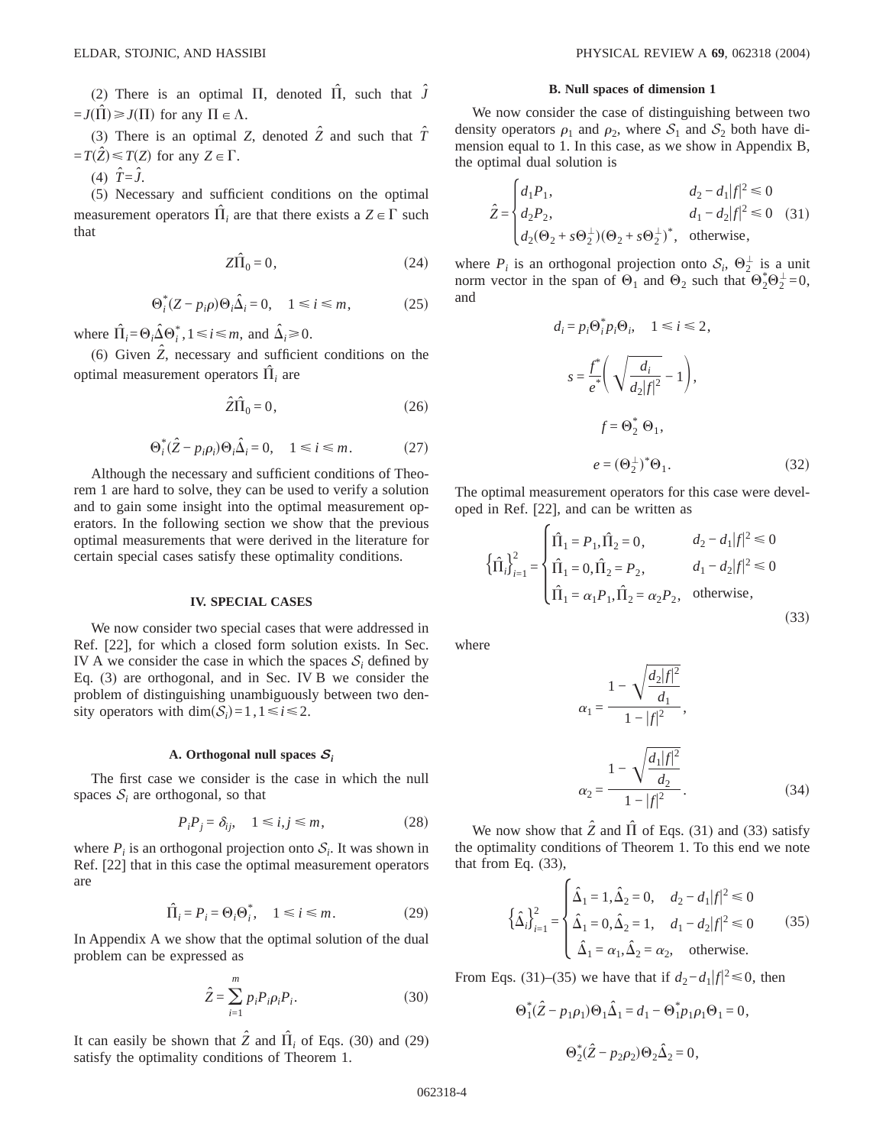(2) There is an optimal  $\Pi$ , denoted  $\hat{\Pi}$ , such that  $\hat{J}$  $=J(\hat{\Pi}) \ge J(\Pi)$  for any  $\Pi \in \Lambda$ .

(3) There is an optimal *Z*, denoted  $\hat{Z}$  and such that  $\hat{T}$  $=T(\hat{Z}) \leq T(Z)$  for any  $Z \in \Gamma$ .

 $(4) \quad \hat{T} = \hat{J}.$ 

(5) Necessary and sufficient conditions on the optimal measurement operators  $\hat{\Pi}_i$  are that there exists a  $Z \in \Gamma$  such that

$$
Z\hat{\Pi}_0 = 0,\t(24)
$$

$$
\Theta_i^*(Z - p_i \rho) \Theta_i \hat{\Delta}_i = 0, \quad 1 \le i \le m,
$$
 (25)

where  $\hat{\Pi}_i = \Theta_i \hat{\Delta} \Theta_i^*$ ,  $1 \le i \le m$ , and  $\hat{\Delta}_i \ge 0$ .

(6) Given  $\hat{Z}$ , necessary and sufficient conditions on the optimal measurement operators  $\Pi_i$  are

$$
\hat{Z}\hat{\Pi}_0 = 0,\t(26)
$$

$$
\Theta_i^*(\hat{Z} - p_i \rho_i) \Theta_i \hat{\Delta}_i = 0, \quad 1 \le i \le m. \tag{27}
$$

Although the necessary and sufficient conditions of Theorem 1 are hard to solve, they can be used to verify a solution and to gain some insight into the optimal measurement operators. In the following section we show that the previous optimal measurements that were derived in the literature for certain special cases satisfy these optimality conditions.

### **IV. SPECIAL CASES**

We now consider two special cases that were addressed in Ref. [22], for which a closed form solution exists. In Sec. IV A we consider the case in which the spaces  $S_i$  defined by Eq. (3) are orthogonal, and in Sec. IV B we consider the problem of distinguishing unambiguously between two density operators with  $\dim(\mathcal{S}_i) = 1, 1 \le i \le 2$ .

#### **A. Orthogonal null spaces** *S<sup>i</sup>*

The first case we consider is the case in which the null spaces  $S_i$  are orthogonal, so that

$$
P_i P_j = \delta_{ij}, \quad 1 \le i, j \le m,
$$
\n<sup>(28)</sup>

where  $P_i$  is an orthogonal projection onto  $S_i$ . It was shown in Ref. [22] that in this case the optimal measurement operators are

$$
\hat{\Pi}_i = P_i = \Theta_i \Theta_i^*, \quad 1 \le i \le m. \tag{29}
$$

In Appendix A we show that the optimal solution of the dual problem can be expressed as

$$
\hat{Z} = \sum_{i=1}^{m} p_i P_i \rho_i P_i. \tag{30}
$$

It can easily be shown that  $\hat{Z}$  and  $\hat{\Pi}_i$  of Eqs. (30) and (29) satisfy the optimality conditions of Theorem 1.

#### **B. Null spaces of dimension 1**

We now consider the case of distinguishing between two density operators  $\rho_1$  and  $\rho_2$ , where  $S_1$  and  $S_2$  both have dimension equal to 1. In this case, as we show in Appendix B, the optimal dual solution is

$$
\hat{Z} = \begin{cases}\nd_1 P_1, & d_2 - d_1 |f|^2 \le 0 \\
d_2 P_2, & d_1 - d_2 |f|^2 \le 0 \\
d_2(\Theta_2 + s\Theta_2^{\perp})(\Theta_2 + s\Theta_2^{\perp})^*, & \text{otherwise,} \n\end{cases}
$$
(31)

where  $P_i$  is an orthogonal projection onto  $S_i$ ,  $\Theta_2^{\perp}$  is a unit norm vector in the span of  $\Theta_1$  and  $\Theta_2$  such that  $\Theta_2^* \Theta_2^{\perp} = 0$ , and

$$
d_i = p_i \Theta_i^* p_i \Theta_i, \quad 1 \le i \le 2,
$$
  

$$
s = \frac{f^*}{e^*} \left( \sqrt{\frac{d_i}{d_2 |f|^2}} - 1 \right),
$$
  

$$
f = \Theta_2^* \Theta_1,
$$
  

$$
e = (\Theta_2^{\perp})^* \Theta_1.
$$
 (32)

The optimal measurement operators for this case were developed in Ref. [22], and can be written as

$$
\left\{\hat{\Pi}_i\right\}_{i=1}^2 = \begin{cases} \hat{\Pi}_1 = P_1, \hat{\Pi}_2 = 0, & d_2 - d_1 |f|^2 \le 0\\ \hat{\Pi}_1 = 0, \hat{\Pi}_2 = P_2, & d_1 - d_2 |f|^2 \le 0\\ \hat{\Pi}_1 = \alpha_1 P_1, \hat{\Pi}_2 = \alpha_2 P_2, & \text{otherwise,} \end{cases}
$$
(33)

where

$$
\alpha_1 = \frac{1 - \sqrt{\frac{d_2 |f|^2}{d_1}}}{1 - |f|^2},
$$

$$
\alpha_2 = \frac{1 - \sqrt{\frac{d_1 |f|^2}{d_2}}}{1 - |f|^2}.
$$
(34)

We now show that  $\hat{Z}$  and  $\hat{\Pi}$  of Eqs. (31) and (33) satisfy the optimality conditions of Theorem 1. To this end we note that from Eq. (33),

$$
\left\{\hat{\Delta}_i\right\}_{i=1}^2 = \begin{cases} \hat{\Delta}_1 = 1, \hat{\Delta}_2 = 0, & d_2 - d_1 | f |^2 \le 0 \\ \hat{\Delta}_1 = 0, \hat{\Delta}_2 = 1, & d_1 - d_2 | f |^2 \le 0 \\ \hat{\Delta}_1 = \alpha_1, \hat{\Delta}_2 = \alpha_2, & \text{otherwise.} \end{cases}
$$
(35)

From Eqs. (31)–(35) we have that if  $d_2 - d_1 |f|^2 \le 0$ , then

$$
\Theta_1^*(\hat{Z} - p_1 \rho_1) \Theta_1 \hat{\Delta}_1 = d_1 - \Theta_1^* p_1 \rho_1 \Theta_1 = 0,
$$
  

$$
\Theta_2^*(\hat{Z} - p_2 \rho_2) \Theta_2 \hat{\Delta}_2 = 0,
$$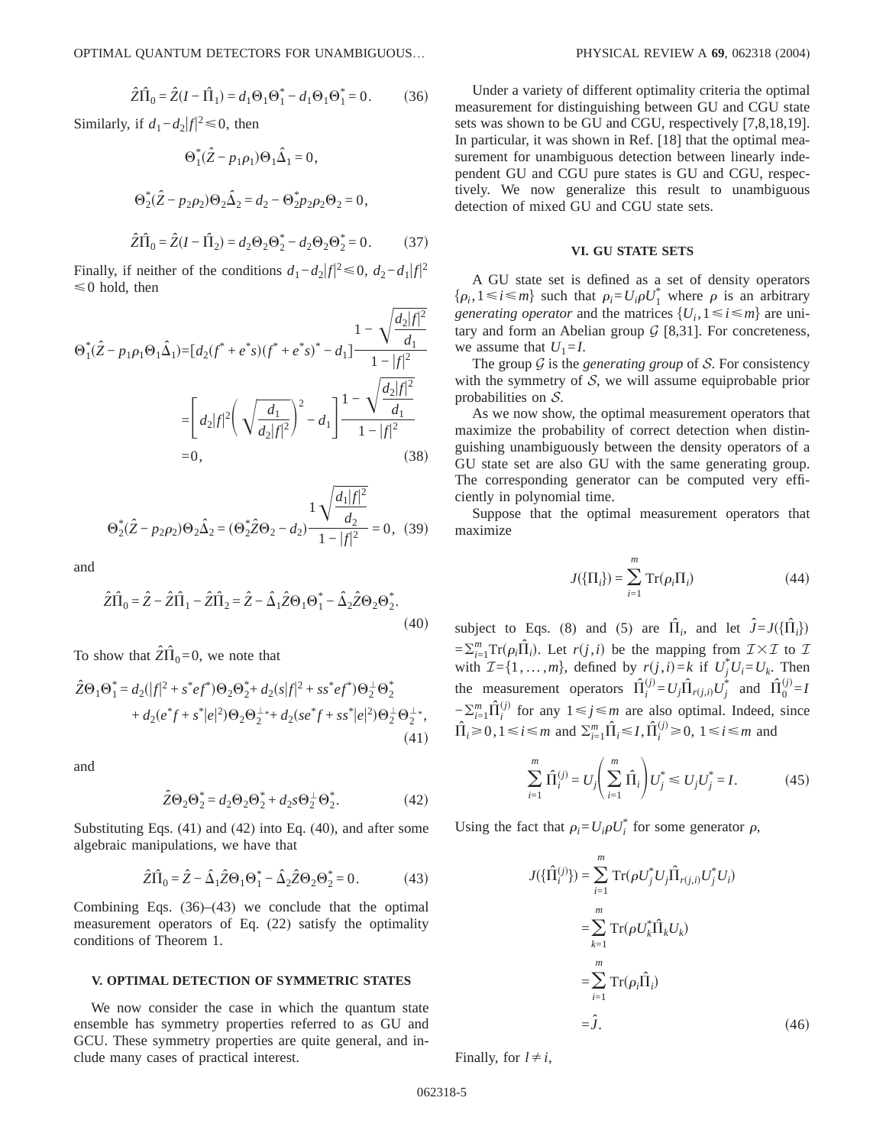$$
\hat{Z}\hat{\Pi}_0 = \hat{Z}(I - \hat{\Pi}_1) = d_1\Theta_1\Theta_1^* - d_1\Theta_1\Theta_1^* = 0.
$$
 (36)

Similarly, if  $d_1-d_2|f|^2 \le 0$ , then

$$
\Theta_1^*(\hat{Z} - p_1\rho_1)\Theta_1\hat{\Delta}_1 = 0,
$$
  

$$
\Theta_2^*(\hat{Z} - p_2\rho_2)\Theta_2\hat{\Delta}_2 = d_2 - \Theta_2^*p_2\rho_2\Theta_2 = 0,
$$

$$
\hat{Z}\hat{\Pi}_0 = \hat{Z}(I - \hat{\Pi}_2) = d_2\Theta_2\Theta_2^* - d_2\Theta_2\Theta_2^* = 0.
$$
 (37)

Finally, if neither of the conditions  $d_1-d_2|f|^2 \le 0$ ,  $d_2-d_1|f|^2$  $\leq 0$  hold, then

$$
\Theta_{1}^{*}(\hat{Z} - p_{1}\rho_{1}\Theta_{1}\hat{\Delta}_{1}) = [d_{2}(f^{*} + e^{*}s)(f^{*} + e^{*}s)^{*} - d_{1}] \frac{1 - \sqrt{\frac{d_{2}|f|^{2}}{d_{1}}}}{1 - |f|^{2}}
$$
  
\n
$$
= \left[ d_{2}|f|^{2} \left( \sqrt{\frac{d_{1}}{d_{2}|f|^{2}}} \right)^{2} - d_{1} \right] \frac{1 - \sqrt{\frac{d_{2}|f|^{2}}{d_{1}}}}{1 - |f|^{2}}
$$
  
\n= 0, (38)

$$
\Theta_2^*(\hat{Z} - p_2 \rho_2) \Theta_2 \hat{\Delta}_2 = (\Theta_2^* \hat{Z} \Theta_2 - d_2) \frac{1}{1 - |f|^2} = 0, \quad (39)
$$

and

$$
\hat{Z}\hat{\Pi}_0 = \hat{Z} - \hat{Z}\hat{\Pi}_1 - \hat{Z}\hat{\Pi}_2 = \hat{Z} - \hat{\Delta}_1\hat{Z}\Theta_1\Theta_1^* - \hat{\Delta}_2\hat{Z}\Theta_2\Theta_2^*.
$$
\n(40)

To show that  $2\hat{\Pi}_0 = 0$ , we note that

$$
\hat{Z}\Theta_1\Theta_1^* = d_2(|f|^2 + s^*ef^*)\Theta_2\Theta_2^* + d_2(s|f|^2 + ss^*ef^*)\Theta_2^+ \Theta_2^*
$$
  
+ 
$$
d_2(e^*f + s^*|e|^2)\Theta_2\Theta_2^{+*} + d_2(se^*f + ss^*|e|^2)\Theta_2^+ \Theta_2^{+*},
$$
  
(41)

and

$$
\hat{Z}\Theta_2\Theta_2^* = d_2\Theta_2\Theta_2^* + d_2s\Theta_2^{\perp}\Theta_2^*.
$$
 (42)

Substituting Eqs.  $(41)$  and  $(42)$  into Eq.  $(40)$ , and after some algebraic manipulations, we have that

$$
\hat{Z}\hat{\Pi}_0 = \hat{Z} - \hat{\Delta}_1 \hat{Z} \Theta_1 \Theta_1^* - \hat{\Delta}_2 \hat{Z} \Theta_2 \Theta_2^* = 0.
$$
 (43)

Combining Eqs.  $(36)$ – $(43)$  we conclude that the optimal measurement operators of Eq. (22) satisfy the optimality conditions of Theorem 1.

### V. OPTIMAL DETECTION OF SYMMETRIC STATES

We now consider the case in which the quantum state ensemble has symmetry properties referred to as GU and GCU. These symmetry properties are quite general, and include many cases of practical interest.

Under a variety of different optimality criteria the optimal measurement for distinguishing between GU and CGU state sets was shown to be GU and CGU, respectively [7,8,18,19]. In particular, it was shown in Ref. [18] that the optimal measurement for unambiguous detection between linearly independent GU and CGU pure states is GU and CGU, respectively. We now generalize this result to unambiguous detection of mixed GU and CGU state sets.

#### **VI. GU STATE SETS**

A GU state set is defined as a set of density operators  $\{\rho_i, 1 \le i \le m\}$  such that  $\rho_i = U_i \rho U_i^*$  where  $\rho$  is an arbitrary generating operator and the matrices  $\{U_i, 1 \le i \le m\}$  are unitary and form an Abelian group  $G$  [8,31]. For concreteness, we assume that  $U_1 = I$ .

The group  $G$  is the *generating group* of  $S$ . For consistency with the symmetry of  $S$ , we will assume equiprobable prior probabilities on  $S$ .

As we now show, the optimal measurement operators that maximize the probability of correct detection when distinguishing unambiguously between the density operators of a GU state set are also GU with the same generating group. The corresponding generator can be computed very efficiently in polynomial time.

Suppose that the optimal measurement operators that maximize

$$
J(\{\Pi_i\}) = \sum_{i=1}^{m} \operatorname{Tr}(\rho_i \Pi_i)
$$
 (44)

subject to Eqs. (8) and (5) are  $\hat{\Pi}_i$ , and let  $\hat{J} = J(\{\hat{\Pi}_i\})$  $=\sum_{i=1}^m Tr(\rho_i \hat{\Pi}_i)$ . Let  $r(j,i)$  be the mapping from  $\mathcal{I} \times \mathcal{I}$  to  $\mathcal{I}$ with  $\mathcal{I} = \{1, ..., m\}$ , defined by  $r(j, i) = k$  if  $U_j^* U_i = U_k$ . Then the measurement operators  $\hat{\Pi}_i^{(j)} = U_i \hat{\Pi}_{r(i,i)} U_i^*$  and  $\hat{\Pi}_0^{(j)} = I$  $-\sum_{i=1}^{m} \hat{\Pi}_{i}^{(j)}$  for any  $1 \leq j \leq m$  are also optimal. Indeed, since  $\hat{\Pi}_i \geq 0, 1 \leq i \leq m$  and  $\sum_{i=1}^m \hat{\Pi}_i \leq I, \hat{\Pi}_i^{(j)} \geq 0, 1 \leq i \leq m$  and

$$
\sum_{i=1}^{m} \hat{\Pi}_{i}^{(j)} = U_{j} \left( \sum_{i=1}^{m} \hat{\Pi}_{i} \right) U_{j}^{*} \leq U_{j} U_{j}^{*} = I.
$$
 (45)

Using the fact that  $\rho_i = U_i \rho U_i^*$  for some generator  $\rho$ ,

$$
U(\{\hat{\Pi}_i^{(j)}\}) = \sum_{i=1}^m \operatorname{Tr}(\rho U_j^* U_j \hat{\Pi}_{r(j,i)} U_j^* U_i)
$$
  
\n
$$
= \sum_{k=1}^m \operatorname{Tr}(\rho U_k^* \hat{\Pi}_k U_k)
$$
  
\n
$$
= \sum_{i=1}^m \operatorname{Tr}(\rho_i \hat{\Pi}_i)
$$
  
\n
$$
= \hat{J}.
$$
 (46)

Finally, for  $l \neq i$ ,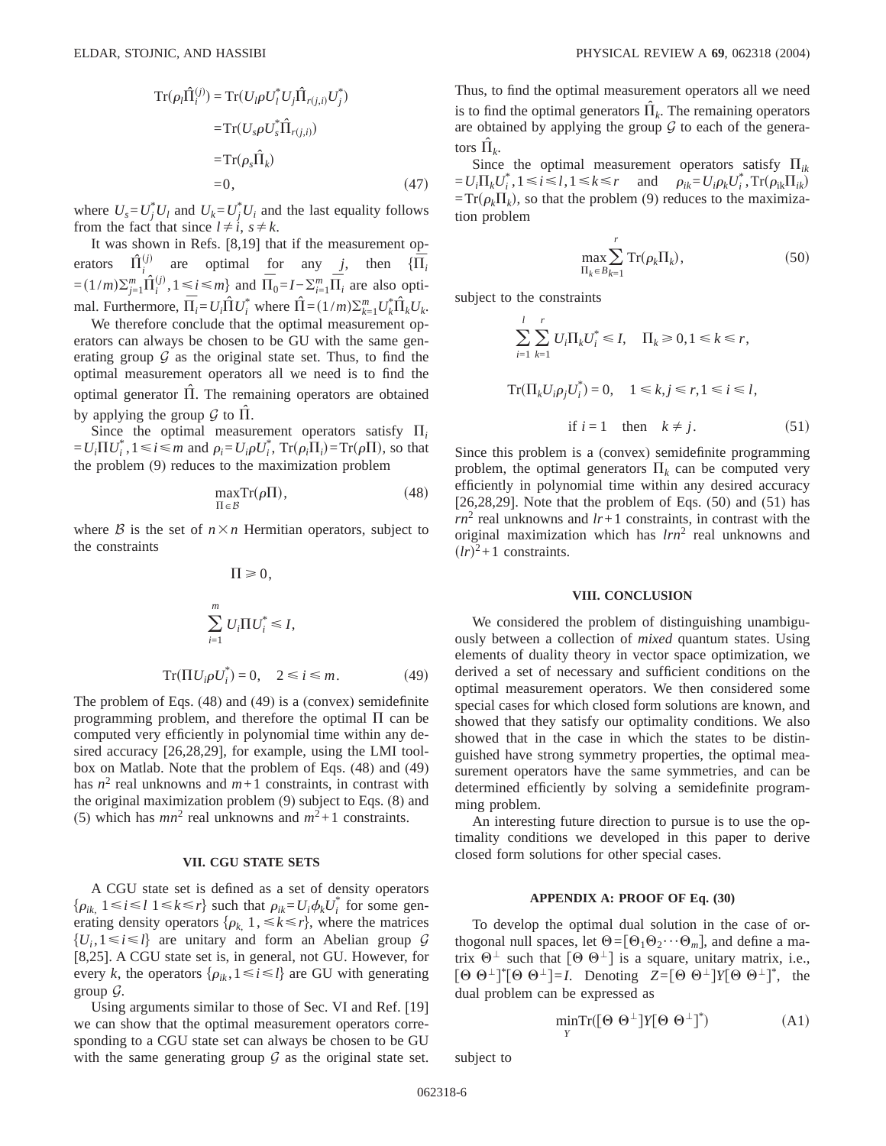$$
\operatorname{Tr}(\rho_l \hat{\Pi}_i^{(j)}) = \operatorname{Tr}(U_l \rho U_l^* U_j \hat{\Pi}_{r(j,i)} U_j^*)
$$
  
\n
$$
= \operatorname{Tr}(U_s \rho U_s^* \hat{\Pi}_{r(j,i)})
$$
  
\n
$$
= \operatorname{Tr}(\rho_s \hat{\Pi}_k)
$$
  
\n
$$
= 0, \tag{47}
$$

where  $U_s = U_j^* U_l$  and  $U_k = U_j^* U_i$  and the last equality follows from the fact that since  $l \neq i$ ,  $s \neq k$ .

It was shown in Refs. [8,19] that if the measurement operators  $\hat{\Pi}^{(j)}_i$  are optimal for any *j*, then  $\{\overline{\Pi}_i\}$  $=(1/m)\sum_{j=1}^{m} \hat{\Pi}_{i}^{(j)}$  $\lim_{i}$ , 1 ≤ *i* ≤ *m*} and  $\overline{\Pi}_0 = I - \sum_{i=1}^{m} \overline{\Pi}_i$  are also optimal. Furthermore,  $\overline{\Pi}_i = U_i \overline{\hat{\Pi}} U_i^*$  where  $\hat{\Pi} = (1/m) \sum_{k=1}^m U_k^* \hat{\Pi}_k U_k$ .

We therefore conclude that the optimal measurement operators can always be chosen to be GU with the same generating group  $G$  as the original state set. Thus, to find the optimal measurement operators all we need is to find the optimal generator Π. The remaining operators are obtained by applying the group  $\mathcal G$  to  $\Pi$ .

Since the optimal measurement operators satisfy  $\Pi_i$  $= U_i \Pi U_i^*$ ,  $1 \le i \le m$  and  $\rho_i = U_i \rho U_i^*$ ,  $Tr(\rho_i \Pi_i) = Tr(\rho \Pi)$ , so that the problem (9) reduces to the maximization problem

$$
\max_{\Pi \in \mathcal{B}} \mathrm{Tr}(\rho \Pi),\tag{48}
$$

where  $\beta$  is the set of  $n \times n$  Hermitian operators, subject to the constraints

$$
\Pi \ge 0,
$$
  

$$
\sum_{i=1}^{m} U_i \Pi U_i^* \le I,
$$
  

$$
\text{Tr}(\Pi U_i \rho U_i^*) = 0, \quad 2 \le i \le m.
$$
 (49)

The problem of Eqs. (48) and (49) is a (convex) semidefinite programming problem, and therefore the optimal  $\Pi$  can be computed very efficiently in polynomial time within any desired accuracy [26,28,29], for example, using the LMI toolbox on Matlab. Note that the problem of Eqs. (48) and (49) has  $n^2$  real unknowns and  $m+1$  constraints, in contrast with the original maximization problem (9) subject to Eqs. (8) and (5) which has  $mn^2$  real unknowns and  $m^2+1$  constraints.

#### **VII. CGU STATE SETS**

A CGU state set is defined as a set of density operators  $\{\rho_{ik, 1} \le i \le l \mid 1 \le k \le r\}$  such that  $\rho_{ik} = U_i \phi_k U_i^*$  for some generating density operators  $\{\rho_k\}$ ,  $1, \leq k \leq r\}$ , where the matrices  $\{U_i, 1 \leq i \leq l\}$  are unitary and form an Abelian group G [8,25]. A CGU state set is, in general, not GU. However, for every *k*, the operators  $\{\rho_{ik}, 1 \le i \le l\}$  are GU with generating group  $\mathcal{G}$ .

Using arguments similar to those of Sec. VI and Ref. [19] we can show that the optimal measurement operators corresponding to a CGU state set can always be chosen to be GU with the same generating group  $G$  as the original state set. Thus, to find the optimal measurement operators all we need is to find the optimal generators  $\hat{\Pi}_k$ . The remaining operators are obtained by applying the group  $G$  to each of the generators  $\Pi_k$ .

Since the optimal measurement operators satisfy  $\Pi_{ik}$  $= U_i \Pi_k U_i^*$ ,  $1 \le i \le l$ ,  $1 \le k \le r$  and  $\rho_{ik} = U_i \rho_k U_i^*$ ,  $Tr(\rho_{ik} \Pi_{ik})$  $=Tr(\rho_k\Pi_k)$ , so that the problem (9) reduces to the maximization problem

$$
\max_{\Pi_k \in B_{k=1}}^r \operatorname{Tr}(\rho_k \Pi_k),\tag{50}
$$

subject to the constraints

$$
\sum_{i=1}^{l} \sum_{k=1}^{r} U_i \Pi_k U_i^* \le I, \quad \Pi_k \ge 0, 1 \le k \le r,
$$
  

$$
\operatorname{Tr}(\Pi_k U_i \rho_j U_i^*) = 0, \quad 1 \le k, j \le r, 1 \le i \le l,
$$
  
if  $i = 1$  then  $k \ne j$ . (51)

Since this problem is a (convex) semidefinite programming problem, the optimal generators  $\Pi_k$  can be computed very efficiently in polynomial time within any desired accuracy  $[26,28,29]$ . Note that the problem of Eqs.  $(50)$  and  $(51)$  has  $rn^2$  real unknowns and  $lr+1$  constraints, in contrast with the original maximization which has *lrn*<sup>2</sup> real unknowns and  $(lr)^2+1$  constraints.

## **VIII. CONCLUSION**

We considered the problem of distinguishing unambiguously between a collection of *mixed* quantum states. Using elements of duality theory in vector space optimization, we derived a set of necessary and sufficient conditions on the optimal measurement operators. We then considered some special cases for which closed form solutions are known, and showed that they satisfy our optimality conditions. We also showed that in the case in which the states to be distinguished have strong symmetry properties, the optimal measurement operators have the same symmetries, and can be determined efficiently by solving a semidefinite programming problem.

An interesting future direction to pursue is to use the optimality conditions we developed in this paper to derive closed form solutions for other special cases.

# **APPENDIX A: PROOF OF Eq. (30)**

To develop the optimal dual solution in the case of orthogonal null spaces, let  $\Theta = [\Theta_1 \Theta_2 \cdots \Theta_m]$ , and define a matrix  $\Theta^{\perp}$  such that  $[\Theta \Theta^{\perp}]$  is a square, unitary matrix, i.e.,  $\left[\Theta \Theta^{\perp}\right]^* \left[\Theta \Theta^{\perp}\right] = I$ . Denoting  $Z = [\Theta \Theta^{\perp}] Y [\Theta \Theta^{\perp}]^*$ , the dual problem can be expressed as

$$
\min_{Y} \text{Tr}([\Theta \Theta^{\perp}] Y [\Theta \Theta^{\perp}]^*) \tag{A1}
$$

subject to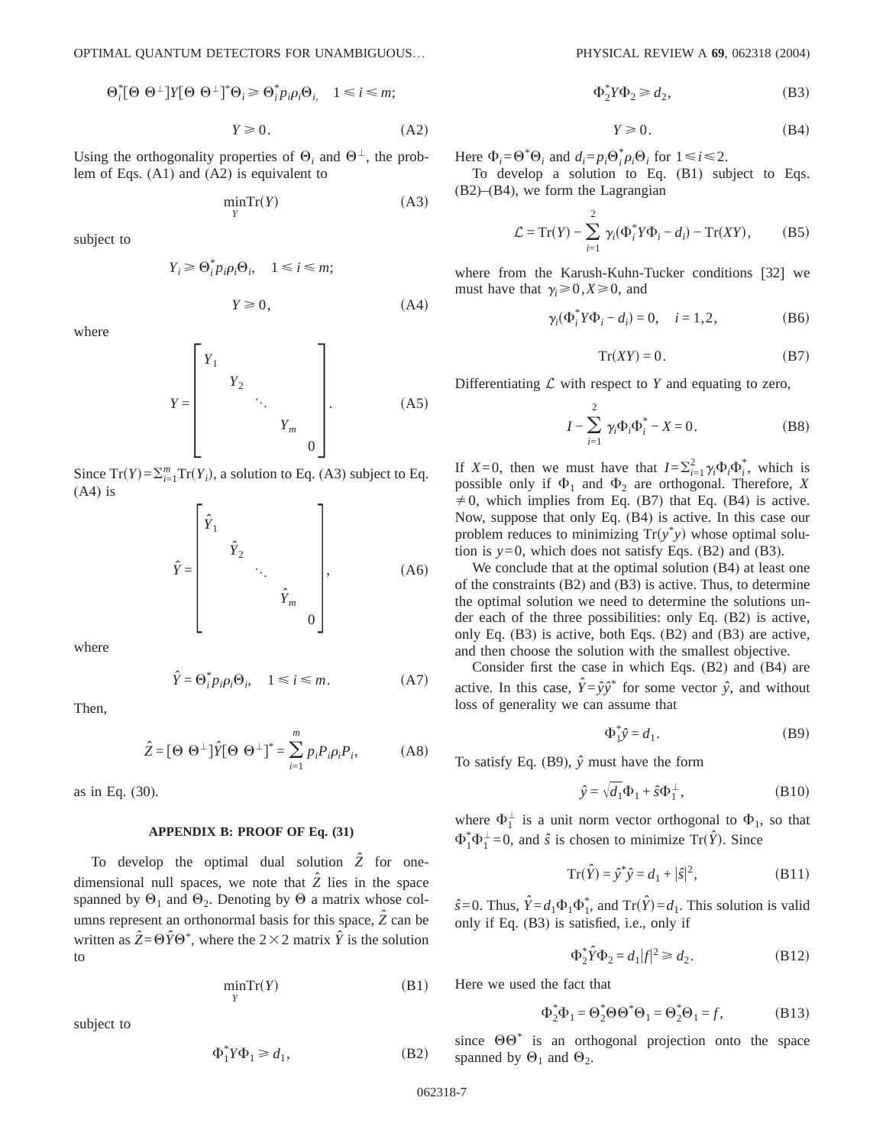$$
\Theta_i^* [\Theta \Theta^{\perp}] Y [\Theta \Theta^{\perp}]^* \Theta_i \geq \Theta_i^* p_i \rho_i \Theta_{i,1} \quad 1 \leq i \leq m;
$$

$$
Y \ge 0. \tag{A2}
$$

Using the orthogonality properties of  $\Theta_i$  and  $\Theta^{\perp}$ , the problem of Eqs. (A1) and (A2) is equivalent to

$$
\min_{Y} \operatorname{Tr}(Y) \tag{A3}
$$

subject to

$$
Y_i \ge \Theta_i^* p_i \rho_i \Theta_i, \quad 1 \le i \le m;
$$
  

$$
Y \ge 0,
$$
 (A4)

where

$$
Y = \begin{bmatrix} Y_1 & & & & \\ & Y_2 & & & \\ & & \ddots & & \\ & & & Y_m & \\ & & & & 0 \end{bmatrix} .
$$
 (A5)

Since  $Tr(Y) = \sum_{i=1}^{m} Tr(Y_i)$ , a solution to Eq. (A3) subject to Eq.  $(A4)$  is

$$
\hat{Y} = \begin{bmatrix} \hat{Y}_1 & & & \\ & \hat{Y}_2 & & \\ & & \ddots & \\ & & & \hat{Y}_m & \\ & & & & 0 \end{bmatrix},\tag{A6}
$$

where

$$
\hat{Y} = \Theta_i^* p_i \rho_i \Theta_i, \quad 1 \le i \le m. \tag{A7}
$$

Then,

$$
\hat{Z} = [\Theta \ \Theta^{\perp}]\hat{Y}[\Theta \ \Theta^{\perp}]^* = \sum_{i=1}^m p_i P_i \rho_i P_i, \tag{A8}
$$

as in Eq. (30).

### **APPENDIX B: PROOF OF Eq. (31)**

To develop the optimal dual solution  $\hat{Z}$  for onedimensional null spaces, we note that  $\hat{Z}$  lies in the space spanned by  $\Theta_1$  and  $\Theta_2$ . Denoting by  $\Theta$  a matrix whose columns represent an orthonormal basis for this space,  $\hat{Z}$  can be written as  $\hat{Z} = \Theta \hat{Y} \Theta^*$ , where the 2 × 2 matrix  $\hat{Y}$  is the solution to

$$
\min_{Y} \operatorname{Tr}(Y) \tag{B1}
$$

subject to

$$
\Phi_1^* Y \Phi_1 \ge d_1,\tag{B2}
$$

$$
\Phi_2^* Y \Phi_2 \ge d_2,\tag{B3}
$$

$$
Y \geq 0. \tag{B4}
$$

Here  $\Phi_i = \Theta^* \Theta_i$  and  $d_i = p_i \Theta_i^* \rho_i \Theta_i$  for  $1 \le i \le 2$ .

To develop a solution to Eq. (B1) subject to Eqs. (B2)–(B4), we form the Lagrangian

$$
\mathcal{L} = \operatorname{Tr}(Y) - \sum_{i=1}^{2} \gamma_i (\Phi_i^* Y \Phi_i - d_i) - \operatorname{Tr}(XY), \tag{B5}
$$

where from the Karush-Kuhn-Tucker conditions [32] we must have that  $\gamma_i \geq 0, X \geq 0$ , and

$$
\gamma_i(\Phi_i^* Y \Phi_i - d_i) = 0, \quad i = 1, 2,
$$
\n(B6)

$$
Tr(XY) = 0.
$$
 (B7)

Differentiating  $\mathcal L$  with respect to  $Y$  and equating to zero,

$$
I - \sum_{i=1}^{2} \gamma_i \Phi_i \Phi_i^* - X = 0.
$$
 (B8)

If *X*=0, then we must have that  $I = \sum_{i=1}^{2} \gamma_i \Phi_i \Phi_i^*$ , which is possible only if  $\Phi_1$  and  $\Phi_2$  are orthogonal. Therefore, *X*  $\neq$  0, which implies from Eq. (B7) that Eq. (B4) is active. Now, suppose that only Eq. (B4) is active. In this case our problem reduces to minimizing  $Tr(y^*y)$  whose optimal solution is  $y=0$ , which does not satisfy Eqs. (B2) and (B3).

We conclude that at the optimal solution  $(B4)$  at least one of the constraints (B2) and (B3) is active. Thus, to determine the optimal solution we need to determine the solutions under each of the three possibilities: only Eq. (B2) is active, only Eq. (B3) is active, both Eqs. (B2) and (B3) are active, and then choose the solution with the smallest objective.

Consider first the case in which Eqs. (B2) and (B4) are active. In this case,  $\hat{Y} = \hat{y}\hat{y}^*$  for some vector  $\hat{y}$ , and without loss of generality we can assume that

$$
\Phi_1^* \hat{y} = d_1. \tag{B9}
$$

To satisfy Eq. (B9),  $\hat{y}$  must have the form

$$
\hat{y} = \sqrt{d_1} \Phi_1 + \hat{s} \Phi_1^{\perp}, \tag{B10}
$$

where  $\Phi_1^{\perp}$  is a unit norm vector orthogonal to  $\Phi_1$ , so that  $\Phi_1^* \Phi_1^{\perp} = 0$ , and *s*̂ is chosen to minimize Tr( $\hat{Y}$ ). Since

$$
Tr(\hat{Y}) = \hat{y}^* \hat{y} = d_1 + |\hat{s}|^2,
$$
 (B11)

 $\hat{s}$ =0. Thus,  $\hat{Y}$  =  $d_1\Phi_1\Phi_1^*$ , and Tr( $\hat{Y}$ ) =  $d_1$ . This solution is valid only if Eq. (B3) is satisfied, i.e., only if

$$
\Phi_2^* \hat{Y} \Phi_2 = d_1 |f|^2 \ge d_2. \tag{B12}
$$

Here we used the fact that

$$
\Phi_2^* \Phi_1 = \Theta_2^* \Theta \Theta^* \Theta_1 = \Theta_2^* \Theta_1 = f, \tag{B13}
$$

since  $\Theta\Theta^*$  is an orthogonal projection onto the space spanned by  $\Theta_1$  and  $\Theta_2$ .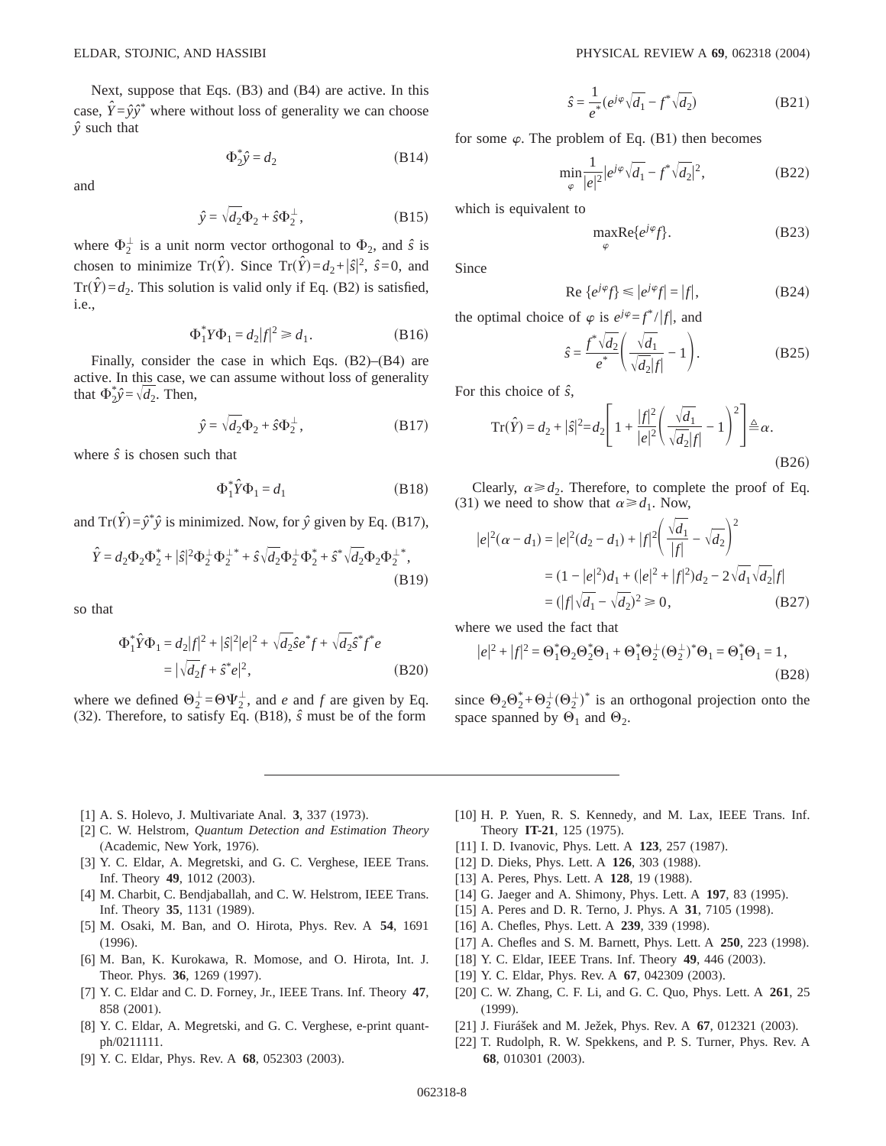Next, suppose that Eqs.  $(B3)$  and  $(B4)$  are active. In this case,  $\hat{Y} = \hat{y}\hat{y}^*$  where without loss of generality we can choose  $\hat{y}$  such that

$$
\Phi_2^* \hat{y} = d_2 \tag{B14}
$$

and

$$
\hat{y} = \sqrt{d_2} \Phi_2 + \hat{s} \Phi_2^{\perp}, \qquad (B15)
$$

where  $\Phi_2^{\perp}$  is a unit norm vector orthogonal to  $\Phi_2$ , and  $\hat{s}$  is chosen to minimize Tr( $\hat{Y}$ ). Since Tr( $\hat{Y}$ )= $d_2 + |\hat{s}|^2$ ,  $\hat{s} = 0$ , and  $Tr(\hat{Y}) = d_2$ . This solution is valid only if Eq. (B2) is satisfied, *i.e.*,

$$
\Phi_1^* Y \Phi_1 = d_2 |f|^2 \ge d_1. \tag{B16}
$$

Finally, consider the case in which Eqs.  $(B2)$ – $(B4)$  are active. In this case, we can assume without loss of generality that  $\Phi_2^*\hat{y} = \sqrt{d_2}$ . Then,

$$
\hat{y} = \sqrt{d_2} \Phi_2 + \hat{s} \Phi_2^{\perp}, \qquad (B17)
$$

where  $\hat{s}$  is chosen such that

$$
\Phi_1^* \hat{Y} \Phi_1 = d_1 \tag{B18}
$$

and  $Tr(\hat{Y}) = \hat{y}^* \hat{y}$  is minimized. Now, for  $\hat{y}$  given by Eq. (B17),

$$
\hat{Y} = d_2 \Phi_2 \Phi_2^* + |\hat{s}|^2 \Phi_2^{\perp} \Phi_2^{\perp *} + \hat{s} \sqrt{d_2} \Phi_2^{\perp} \Phi_2^* + \hat{s}^* \sqrt{d_2} \Phi_2 \Phi_2^{\perp *} ,
$$
\n(B19)

so that

$$
\Phi_1^* \hat{Y} \Phi_1 = d_2 |f|^2 + |\hat{s}|^2 |e|^2 + \sqrt{d_2} \hat{s} e^* f + \sqrt{d_2} \hat{s}^* f^* e
$$
  
=  $|\sqrt{d_2} f + \hat{s}^* e|^2$ , (B20)

where we defined  $\Theta_2^{\perp} = \Theta \Psi_2^{\perp}$ , and *e* and *f* are given by Eq. (32). Therefore, to satisfy Eq. (B18),  $\hat{s}$  must be of the form

$$
\hat{s} = \frac{1}{e^*} (e^{j\varphi} \sqrt{d_1} - f^* \sqrt{d_2})
$$
\n(B21)

for some  $\varphi$ . The problem of Eq. (B1) then becomes

$$
\min_{\varphi} \frac{1}{|e|^2} |e^{j\varphi} \sqrt{d_1} - f^* \sqrt{d_2}|^2, \tag{B22}
$$

which is equivalent to

$$
\max_{\varphi} \text{Re}\{e^{j\varphi}f\}.\tag{B23}
$$

Since

$$
\text{Re}\left\{e^{j\varphi}f\right\} \leq |e^{j\varphi}f| = |f|,\tag{B24}
$$

the optimal choice of  $\varphi$  is  $e^{j\varphi} = f^* / |f|$ , and

$$
\hat{s} = \frac{f^* \sqrt{d_2}}{e^*} \left( \frac{\sqrt{d_1}}{\sqrt{d_2} |f|} - 1 \right). \tag{B25}
$$

For this choice of  $\hat{s}$ ,

$$
\operatorname{Tr}(\hat{Y}) = d_2 + |\hat{s}|^2 = d_2 \left[ 1 + \frac{|f|^2}{|e|^2} \left( \frac{\sqrt{d_1}}{\sqrt{d_2}|f|} - 1 \right)^2 \right] \triangleq \alpha.
$$
\n(B26)

Clearly,  $\alpha \ge d_2$ . Therefore, to complete the proof of Eq. (31) we need to show that  $\alpha \ge d_1$ . Now,

$$
|e|^2(\alpha - d_1) = |e|^2(d_2 - d_1) + |f|^2 \left(\frac{\sqrt{d_1}}{|f|} - \sqrt{d_2}\right)^2
$$
  
=  $(1 - |e|^2)d_1 + (|e|^2 + |f|^2)d_2 - 2\sqrt{d_1}\sqrt{d_2}|f|$   
=  $(|f|\sqrt{d_1} - \sqrt{d_2})^2 \ge 0$ , (B27)

where we used the fact that

$$
|e|^2 + |f|^2 = \Theta_1^* \Theta_2 \Theta_2^* \Theta_1 + \Theta_1^* \Theta_2^{\perp} (\Theta_2^{\perp})^* \Theta_1 = \Theta_1^* \Theta_1 = 1,
$$
\n(B28)

since  $\Theta_2 \Theta_2^* + \Theta_2^{\perp} (\Theta_2^{\perp})^*$  is an orthogonal projection onto the space spanned by  $\Theta_1$  and  $\Theta_2$ .

- [1] A. S. Holevo, J. Multivariate Anal. 3, 337 (1973).
- [2] C. W. Helstrom, Quantum Detection and Estimation Theory (Academic, New York, 1976).
- [3] Y. C. Eldar, A. Megretski, and G. C. Verghese, IEEE Trans. Inf. Theory 49, 1012 (2003).
- [4] M. Charbit, C. Bendjaballah, and C. W. Helstrom, IEEE Trans. Inf. Theory 35, 1131 (1989).
- [5] M. Osaki, M. Ban, and O. Hirota, Phys. Rev. A 54, 1691  $(1996).$
- [6] M. Ban, K. Kurokawa, R. Momose, and O. Hirota, Int. J. Theor. Phys. 36, 1269 (1997).
- [7] Y. C. Eldar and C. D. Forney, Jr., IEEE Trans. Inf. Theory 47, 858 (2001).
- [8] Y. C. Eldar, A. Megretski, and G. C. Verghese, e-print quantph/0211111.
- [9] Y. C. Eldar, Phys. Rev. A 68, 052303 (2003).
- [10] H. P. Yuen, R. S. Kennedy, and M. Lax, IEEE Trans. Inf. Theory IT-21, 125 (1975).
- [11] I. D. Ivanovic, Phys. Lett. A 123, 257 (1987).
- [12] D. Dieks, Phys. Lett. A 126, 303 (1988).
- [13] A. Peres, Phys. Lett. A 128, 19 (1988).
- [14] G. Jaeger and A. Shimony, Phys. Lett. A 197, 83 (1995).
- [15] A. Peres and D. R. Terno, J. Phys. A 31, 7105 (1998).
- [16] A. Chefles, Phys. Lett. A 239, 339 (1998).
- [17] A. Chefles and S. M. Barnett, Phys. Lett. A 250, 223 (1998).
- [18] Y. C. Eldar, IEEE Trans. Inf. Theory 49, 446 (2003).
- [19] Y. C. Eldar, Phys. Rev. A 67, 042309 (2003).
- [20] C. W. Zhang, C. F. Li, and G. C. Quo, Phys. Lett. A 261, 25  $(1999).$
- [21] J. Fiurášek and M. Ježek, Phys. Rev. A 67, 012321 (2003).
- [22] T. Rudolph, R. W. Spekkens, and P. S. Turner, Phys. Rev. A 68, 010301 (2003).